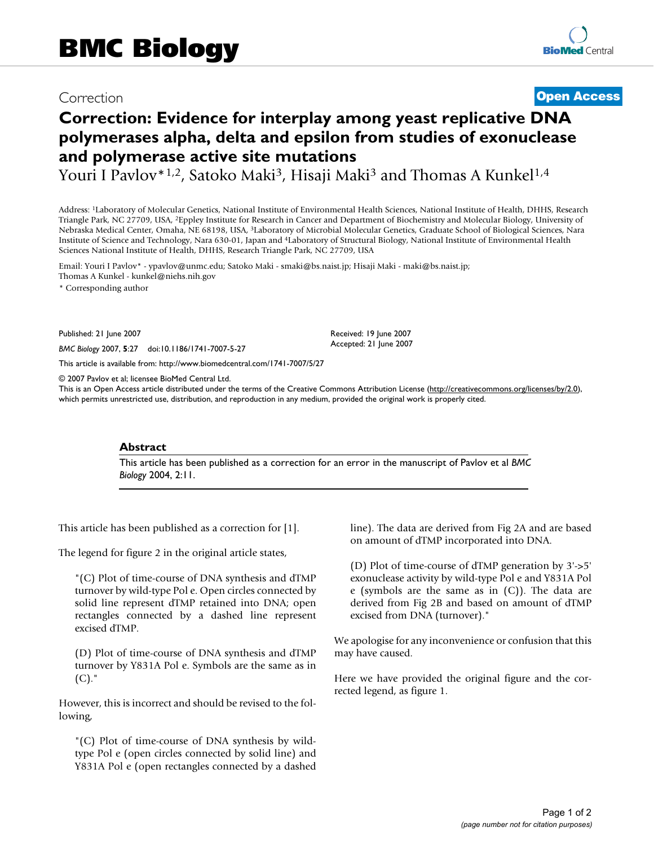## Correction **[Open Access](http://www.biomedcentral.com/info/about/charter/)**

# **Correction: Evidence for interplay among yeast replicative DNA polymerases alpha, delta and epsilon from studies of exonuclease and polymerase active site mutations**

Youri I Pavlov<sup>\*1,2</sup>, Satoko Maki<sup>3</sup>, Hisaji Maki<sup>3</sup> and Thomas A Kunkel<sup>1,4</sup>

Address: 1Laboratory of Molecular Genetics, National Institute of Environmental Health Sciences, National Institute of Health, DHHS, Research Triangle Park, NC 27709, USA, 2Eppley Institute for Research in Cancer and Department of Biochemistry and Molecular Biology, University of Nebraska Medical Center, Omaha, NE 68198, USA, 3Laboratory of Microbial Molecular Genetics, Graduate School of Biological Sciences, Nara Institute of Science and Technology, Nara 630-01, Japan and 4Laboratory of Structural Biology, National Institute of Environmental Health Sciences National Institute of Health, DHHS, Research Triangle Park, NC 27709, USA

Email: Youri I Pavlov\* - ypavlov@unmc.edu; Satoko Maki - smaki@bs.naist.jp; Hisaji Maki - maki@bs.naist.jp; Thomas A Kunkel - kunkel@niehs.nih.gov

\* Corresponding author

Published: 21 June 2007

*BMC Biology* 2007, **5**:27 doi:10.1186/1741-7007-5-27

[This article is available from: http://www.biomedcentral.com/1741-7007/5/27](http://www.biomedcentral.com/1741-7007/5/27)

© 2007 Pavlov et al; licensee BioMed Central Ltd.

This is an Open Access article distributed under the terms of the Creative Commons Attribution License [\(http://creativecommons.org/licenses/by/2.0\)](http://creativecommons.org/licenses/by/2.0), which permits unrestricted use, distribution, and reproduction in any medium, provided the original work is properly cited.

Received: 19 June 2007 Accepted: 21 June 2007

#### **Abstract**

This article has been published as a correction for an error in the manuscript of Pavlov et al *BMC Biology* 2004, 2:11.

This article has been published as a correction for [1].

The legend for figure 2 in the original article states,

"(C) Plot of time-course of DNA synthesis and dTMP turnover by wild-type Pol e. Open circles connected by solid line represent dTMP retained into DNA; open rectangles connected by a dashed line represent excised dTMP.

(D) Plot of time-course of DNA synthesis and dTMP turnover by Y831A Pol e. Symbols are the same as in  $(C).$ "

However, this is incorrect and should be revised to the following,

"(C) Plot of time-course of DNA synthesis by wildtype Pol e (open circles connected by solid line) and Y831A Pol e (open rectangles connected by a dashed line). The data are derived from Fig 2A and are based on amount of dTMP incorporated into DNA.

(D) Plot of time-course of dTMP generation by 3'->5' exonuclease activity by wild-type Pol e and Y831A Pol e (symbols are the same as in (C)). The data are derived from Fig 2B and based on amount of dTMP excised from DNA (turnover)."

We apologise for any inconvenience or confusion that this may have caused.

Here we have provided the original figure and the corrected legend, as figure 1.